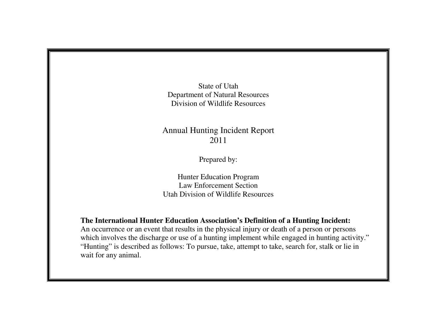State of Utah Department of Natural Resources Division of Wildlife Resources

## Annual Hunting Incident Report 2011

Prepared by:

Hunter Education Program Law Enforcement Section Utah Division of Wildlife Resources

**The International Hunter Education Association's Definition of a Hunting Incident:** 

 An occurrence or an event that results in the physical injury or death of a person or persons which involves the discharge or use of a hunting implement while engaged in hunting activity." "Hunting" is described as follows: To pursue, take, attempt to take, search for, stalk or lie in wait for any animal.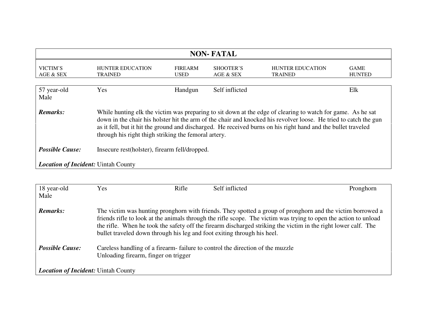| <b>NON-FATAL</b>                                                                                                                                                                                                                                                                                                                                                                                                     |                                           |                               |                        |                                           |                              |  |  |
|----------------------------------------------------------------------------------------------------------------------------------------------------------------------------------------------------------------------------------------------------------------------------------------------------------------------------------------------------------------------------------------------------------------------|-------------------------------------------|-------------------------------|------------------------|-------------------------------------------|------------------------------|--|--|
| VICTIM'S<br>AGE & SEX                                                                                                                                                                                                                                                                                                                                                                                                | <b>HUNTER EDUCATION</b><br><b>TRAINED</b> | <b>FIREARM</b><br><b>USED</b> | SHOOTER'S<br>AGE & SEX | <b>HUNTER EDUCATION</b><br><b>TRAINED</b> | <b>GAME</b><br><b>HUNTED</b> |  |  |
| 57 year-old<br>Yes<br>Self inflicted<br>Elk<br>Handgun<br>Male                                                                                                                                                                                                                                                                                                                                                       |                                           |                               |                        |                                           |                              |  |  |
| Remarks:<br>While hunting elk the victim was preparing to sit down at the edge of clearing to watch for game. As he sat<br>down in the chair his holster hit the arm of the chair and knocked his revolver loose. He tried to catch the gun<br>as it fell, but it hit the ground and discharged. He received burns on his right hand and the bullet traveled<br>through his right thigh striking the femoral artery. |                                           |                               |                        |                                           |                              |  |  |
| <b>Possible Cause:</b><br>Insecure rest(holster), firearm fell/dropped.                                                                                                                                                                                                                                                                                                                                              |                                           |                               |                        |                                           |                              |  |  |
| <b>Location of Incident: Uintah County</b>                                                                                                                                                                                                                                                                                                                                                                           |                                           |                               |                        |                                           |                              |  |  |

| 18 year-old<br>Male                        | <b>Yes</b>                                                              | Rifle | Self inflicted                                                                                                                                                                                                                                                                                                                                   | Pronghorn |  |  |
|--------------------------------------------|-------------------------------------------------------------------------|-------|--------------------------------------------------------------------------------------------------------------------------------------------------------------------------------------------------------------------------------------------------------------------------------------------------------------------------------------------------|-----------|--|--|
| <b>Remarks:</b>                            | bullet traveled down through his leg and foot exiting through his heel. |       | The victim was hunting pronghorn with friends. They spotted a group of pronghorn and the victim borrowed a<br>friends rifle to look at the animals through the rifle scope. The victim was trying to open the action to unload<br>the rifle. When he took the safety off the firearm discharged striking the victim in the right lower calf. The |           |  |  |
| <b>Possible Cause:</b>                     | Unloading firearm, finger on trigger                                    |       | Careless handling of a firearm-failure to control the direction of the muzzle                                                                                                                                                                                                                                                                    |           |  |  |
| <b>Location of Incident: Uintah County</b> |                                                                         |       |                                                                                                                                                                                                                                                                                                                                                  |           |  |  |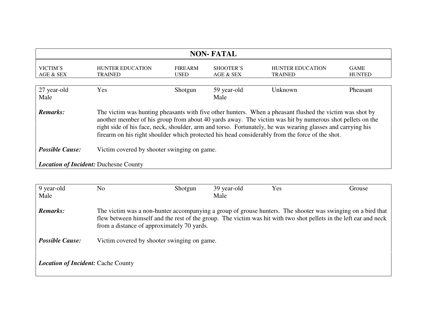| <b>NON-FATAL</b>                                                                                                                                                                                                                                                                                                                                                                                                                                   |                                           |                        |                        |                                           |                              |  |  |
|----------------------------------------------------------------------------------------------------------------------------------------------------------------------------------------------------------------------------------------------------------------------------------------------------------------------------------------------------------------------------------------------------------------------------------------------------|-------------------------------------------|------------------------|------------------------|-------------------------------------------|------------------------------|--|--|
| VICTIM'S<br>AGE & SEX                                                                                                                                                                                                                                                                                                                                                                                                                              | <b>HUNTER EDUCATION</b><br><b>TRAINED</b> | <b>FIREARM</b><br>USED | SHOOTER'S<br>AGE & SEX | <b>HUNTER EDUCATION</b><br><b>TRAINED</b> | <b>GAME</b><br><b>HUNTED</b> |  |  |
| 27 year-old<br>Yes<br>59 year-old<br>Shotgun<br>Unknown<br>Pheasant<br>Male<br>Male                                                                                                                                                                                                                                                                                                                                                                |                                           |                        |                        |                                           |                              |  |  |
| Remarks:<br>The victim was hunting pheasants with five other hunters. When a pheasant flushed the victim was shot by<br>another member of his group from about 40 yards away. The victim was hit by numerous shot pellets on the<br>right side of his face, neck, shoulder, arm and torso. Fortunately, he was wearing glasses and carrying his<br>firearm on his right shoulder which protected his head considerably from the force of the shot. |                                           |                        |                        |                                           |                              |  |  |
| <b>Possible Cause:</b><br>Victim covered by shooter swinging on game.                                                                                                                                                                                                                                                                                                                                                                              |                                           |                        |                        |                                           |                              |  |  |
| <b>Location of Incident: Duchesne County</b>                                                                                                                                                                                                                                                                                                                                                                                                       |                                           |                        |                        |                                           |                              |  |  |

| 9 year-old                                | No                                                                                                                                                                                                                                                                             | Shotgun | 39 year-old | Yes | Grouse |
|-------------------------------------------|--------------------------------------------------------------------------------------------------------------------------------------------------------------------------------------------------------------------------------------------------------------------------------|---------|-------------|-----|--------|
| Male                                      |                                                                                                                                                                                                                                                                                |         | Male        |     |        |
| <b>Remarks:</b>                           | The victim was a non-hunter accompanying a group of grouse hunters. The shooter was swinging on a bird that<br>flew between himself and the rest of the group. The victim was hit with two shot pellets in the left ear and neck<br>from a distance of approximately 70 yards. |         |             |     |        |
| <b>Possible Cause:</b>                    | Victim covered by shooter swinging on game.                                                                                                                                                                                                                                    |         |             |     |        |
| <b>Location of Incident: Cache County</b> |                                                                                                                                                                                                                                                                                |         |             |     |        |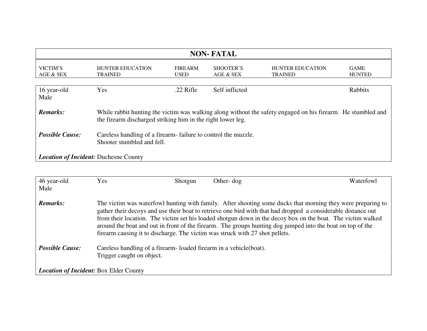| <b>NON-FATAL</b>                                                                                                                                                                               |                                           |                               |                        |                                           |                              |
|------------------------------------------------------------------------------------------------------------------------------------------------------------------------------------------------|-------------------------------------------|-------------------------------|------------------------|-------------------------------------------|------------------------------|
| VICTIM'S<br>AGE & SEX                                                                                                                                                                          | <b>HUNTER EDUCATION</b><br><b>TRAINED</b> | <b>FIREARM</b><br><b>USED</b> | SHOOTER'S<br>AGE & SEX | <b>HUNTER EDUCATION</b><br><b>TRAINED</b> | <b>GAME</b><br><b>HUNTED</b> |
| 16 year-old<br>Male                                                                                                                                                                            | Yes                                       | $.22$ Rifle                   | Self inflicted         |                                           | Rabbits                      |
| <b>Remarks:</b><br>While rabbit hunting the victim was walking along without the safety engaged on his firearm. He stumbled and<br>the firearm discharged striking him in the right lower leg. |                                           |                               |                        |                                           |                              |
| <b>Possible Cause:</b><br>Careless handling of a firearm-failure to control the muzzle.<br>Shooter stumbled and fell.                                                                          |                                           |                               |                        |                                           |                              |
| <b>Location of Incident: Duchesne County</b>                                                                                                                                                   |                                           |                               |                        |                                           |                              |

| 46 year-old<br>Male                           | Yes                                                                                             | Shotgun | Other- $\log$                                                                                                                                                                                                                                                                                                                                                                                                                                                                                                                             | Waterfowl |  |  |
|-----------------------------------------------|-------------------------------------------------------------------------------------------------|---------|-------------------------------------------------------------------------------------------------------------------------------------------------------------------------------------------------------------------------------------------------------------------------------------------------------------------------------------------------------------------------------------------------------------------------------------------------------------------------------------------------------------------------------------------|-----------|--|--|
| <b>Remarks:</b>                               |                                                                                                 |         | The victim was waterfowl hunting with family. After shooting some ducks that morning they were preparing to<br>gather their decoys and use their boat to retrieve one bird with that had dropped a considerable distance out<br>from their location. The victim set his loaded shotgun down in the decoy box on the boat. The victim walked<br>around the boat and out in front of the firearm. The groups hunting dog jumped into the boat on top of the<br>firearm causing it to discharge. The victim was struck with 27 shot pellets. |           |  |  |
| <b>Possible Cause:</b>                        | Careless handling of a firearm-loaded firearm in a vehicle (boat).<br>Trigger caught on object. |         |                                                                                                                                                                                                                                                                                                                                                                                                                                                                                                                                           |           |  |  |
| <b>Location of Incident: Box Elder County</b> |                                                                                                 |         |                                                                                                                                                                                                                                                                                                                                                                                                                                                                                                                                           |           |  |  |